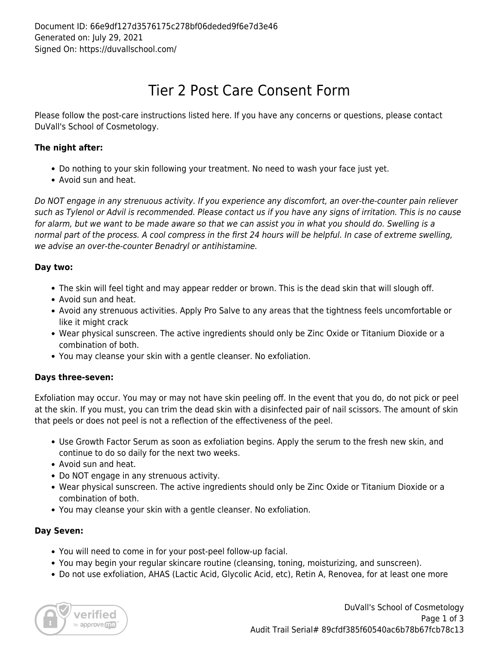# Tier 2 Post Care Consent Form

Please follow the post-care instructions listed here. If you have any concerns or questions, please contact DuVall's School of Cosmetology.

## **The night after:**

- Do nothing to your skin following your treatment. No need to wash your face just yet.
- Avoid sun and heat.

Do NOT engage in any strenuous activity. If you experience any discomfort, an over-the-counter pain reliever such as Tylenol or Advil is recommended. Please contact us if you have any signs of irritation. This is no cause for alarm, but we want to be made aware so that we can assist you in what you should do. Swelling is a normal part of the process. A cool compress in the first 24 hours will be helpful. In case of extreme swelling, we advise an over-the-counter Benadryl or antihistamine.

### **Day two:**

- The skin will feel tight and may appear redder or brown. This is the dead skin that will slough off.
- Avoid sun and heat.
- Avoid any strenuous activities. Apply Pro Salve to any areas that the tightness feels uncomfortable or like it might crack
- Wear physical sunscreen. The active ingredients should only be Zinc Oxide or Titanium Dioxide or a combination of both.
- You may cleanse your skin with a gentle cleanser. No exfoliation.

#### **Days three-seven:**

Exfoliation may occur. You may or may not have skin peeling off. In the event that you do, do not pick or peel at the skin. If you must, you can trim the dead skin with a disinfected pair of nail scissors. The amount of skin that peels or does not peel is not a reflection of the effectiveness of the peel.

- Use Growth Factor Serum as soon as exfoliation begins. Apply the serum to the fresh new skin, and continue to do so daily for the next two weeks.
- Avoid sun and heat.
- Do NOT engage in any strenuous activity.
- Wear physical sunscreen. The active ingredients should only be Zinc Oxide or Titanium Dioxide or a combination of both.
- You may cleanse your skin with a gentle cleanser. No exfoliation.

#### **Day Seven:**

- You will need to come in for your post-peel follow-up facial.
- You may begin your regular skincare routine (cleansing, toning, moisturizing, and sunscreen).
- Do not use exfoliation, AHAS (Lactic Acid, Glycolic Acid, etc), Retin A, Renovea, for at least one more

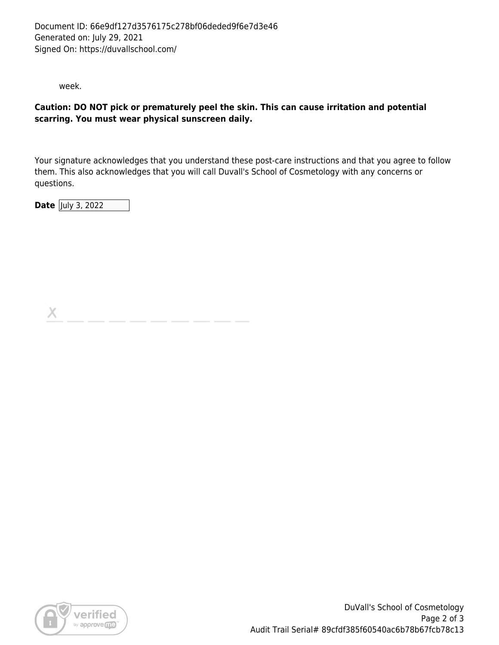week.

#### **Caution: DO NOT pick or prematurely peel the skin. This can cause irritation and potential scarring. You must wear physical sunscreen daily.**

Your signature acknowledges that you understand these post-care instructions and that you agree to follow them. This also acknowledges that you will call Duvall's School of Cosmetology with any concerns or questions.

**Date** July 3, 2022

X